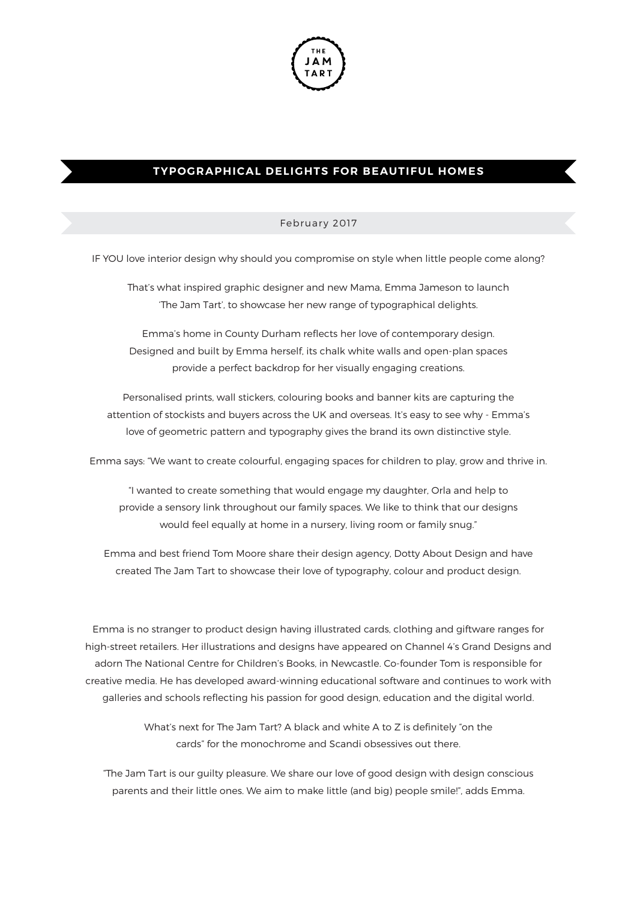

## **TYPOGRAPHICAL DELIGHTS FOR BEAUTIFUL HOMES**

## February 2017

IF YOU love interior design why should you compromise on style when little people come along?

That's what inspired graphic designer and new Mama, Emma Jameson to launch 'The Jam Tart', to showcase her new range of typographical delights.

Emma's home in County Durham reflects her love of contemporary design. Designed and built by Emma herself, its chalk white walls and open-plan spaces provide a perfect backdrop for her visually engaging creations.

Personalised prints, wall stickers, colouring books and banner kits are capturing the attention of stockists and buyers across the UK and overseas. It's easy to see why - Emma's love of geometric pattern and typography gives the brand its own distinctive style.

Emma says: "We want to create colourful, engaging spaces for children to play, grow and thrive in.

"I wanted to create something that would engage my daughter, Orla and help to provide a sensory link throughout our family spaces. We like to think that our designs would feel equally at home in a nursery, living room or family snug."

Emma and best friend Tom Moore share their design agency, Dotty About Design and have created The Jam Tart to showcase their love of typography, colour and product design.

Emma is no stranger to product design having illustrated cards, clothing and giftware ranges for high-street retailers. Her illustrations and designs have appeared on Channel 4's Grand Designs and adorn The National Centre for Children's Books, in Newcastle. Co-founder Tom is responsible for creative media. He has developed award-winning educational software and continues to work with galleries and schools relecting his passion for good design, education and the digital world.

> What's next for The Jam Tart? A black and white A to Z is definitely "on the cards" for the monochrome and Scandi obsessives out there.

"The Jam Tart is our guilty pleasure. We share our love of good design with design conscious parents and their little ones. We aim to make little (and big) people smile!", adds Emma.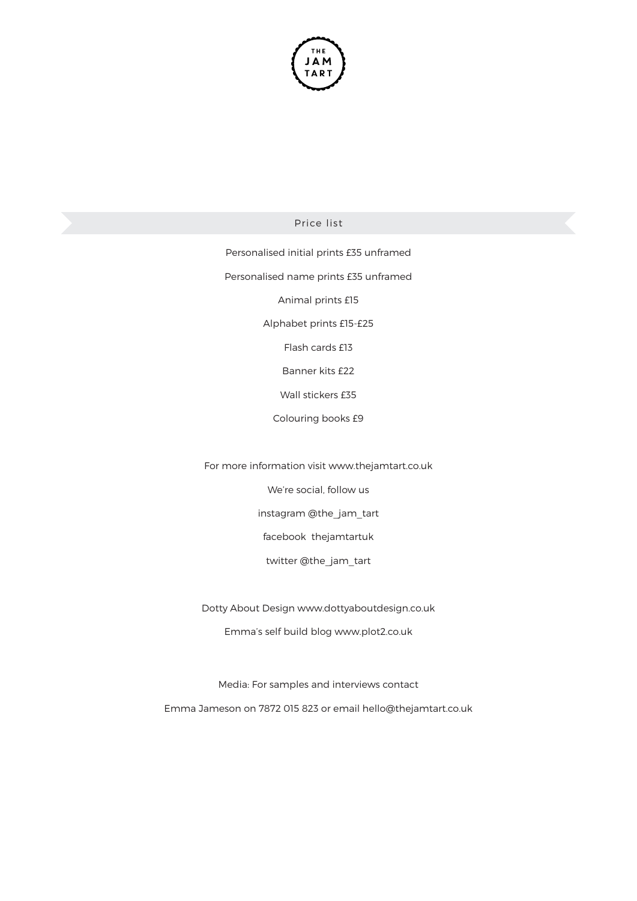

Price list

Personalised initial prints £35 unframed Personalised name prints £35 unframed Animal prints £15 Alphabet prints £15-£25 Flash cards £13 Banner kits £22 Wall stickers £35 Colouring books £9

For more information visit www.thejamtart.co.uk

We're social, follow us

instagram @the\_jam\_tart

facebook thejamtartuk

twitter @the\_jam\_tart

Dotty About Design www.dottyaboutdesign.co.uk

Emma's self build blog www.plot2.co.uk

Media: For samples and interviews contact Emma Jameson on 7872 015 823 or email hello@thejamtart.co.uk